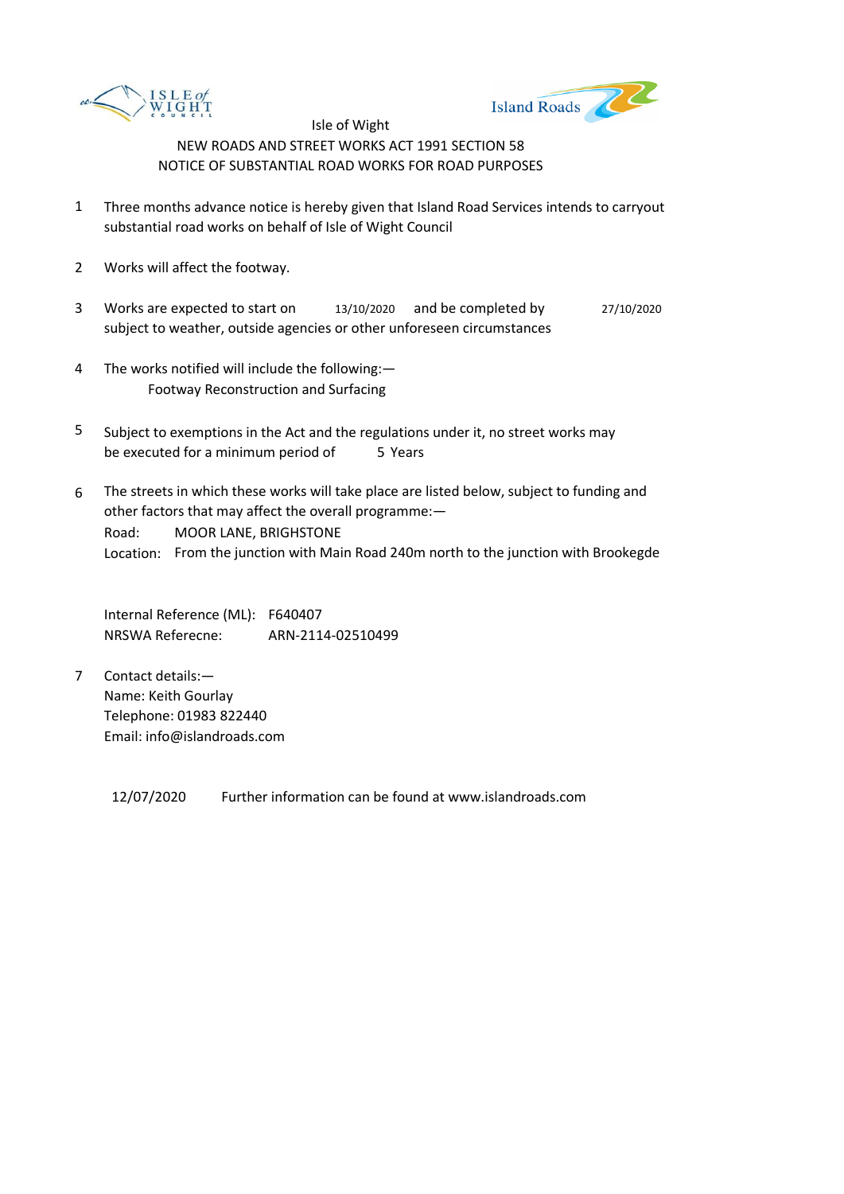



- 1 Three months advance notice is hereby given that Island Road Services intends to carryout substantial road works on behalf of Isle of Wight Council
- 2 Works will affect the footway.
- 3 Works are expected to start on subject to weather, outside agencies or other unforeseen circumstances 13/10/2020 and be completed by 27/10/2020
- 4 The works notified will include the following:— Footway Reconstruction and Surfacing
- 5 be executed for a minimum period of 5 Years Subject to exemptions in the Act and the regulations under it, no street works may
- 6 Road: Location: From the junction with Main Road 240m north to the junction with Brookegde The streets in which these works will take place are listed below, subject to funding and other factors that may affect the overall programme:— MOOR LANE, BRIGHSTONE

Internal Reference (ML): F640407 NRSWA Referecne: ARN-2114-02510499

7 Contact details:— Name: Keith Gourlay Telephone: 01983 822440 Email: info@islandroads.com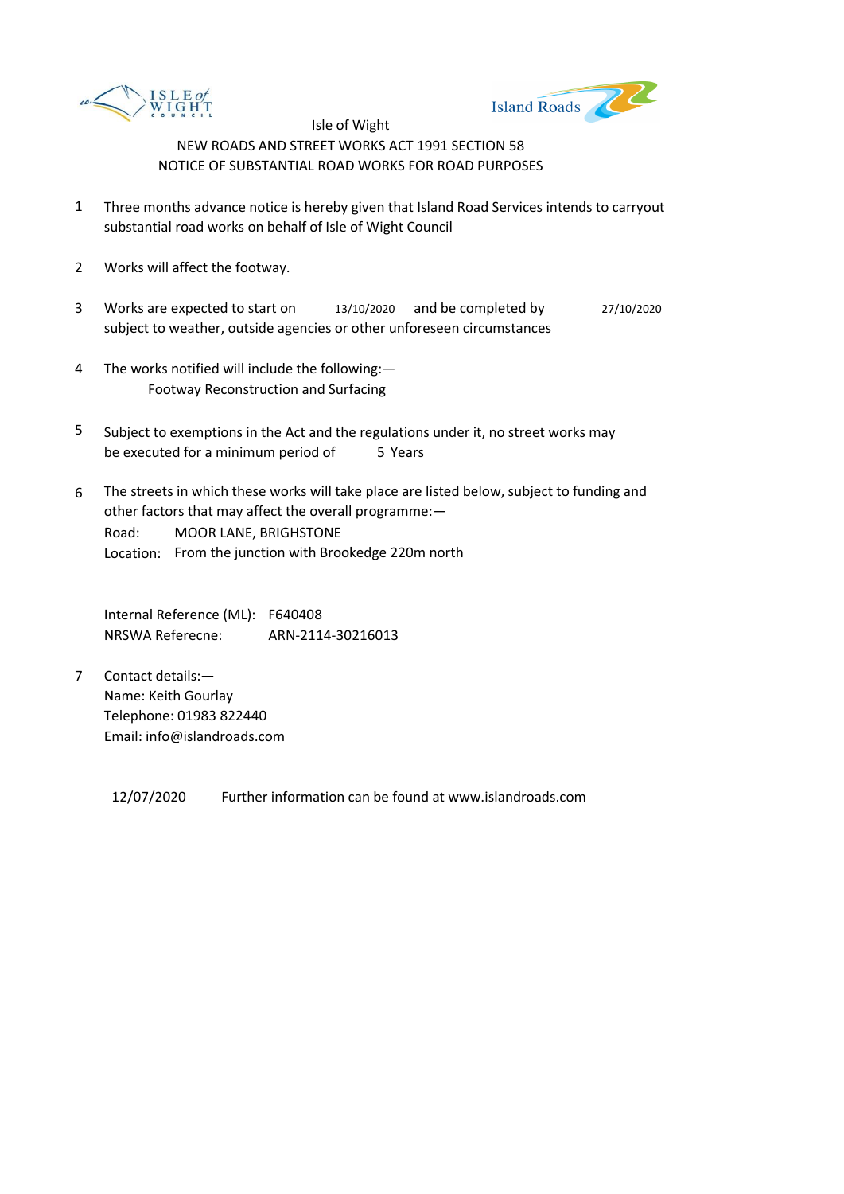



- 1 Three months advance notice is hereby given that Island Road Services intends to carryout substantial road works on behalf of Isle of Wight Council
- 2 Works will affect the footway.
- 3 Works are expected to start on subject to weather, outside agencies or other unforeseen circumstances 13/10/2020 and be completed by 27/10/2020
- 4 The works notified will include the following:— Footway Reconstruction and Surfacing
- 5 be executed for a minimum period of 5 Years Subject to exemptions in the Act and the regulations under it, no street works may
- 6 Road: Location: From the junction with Brookedge 220m north The streets in which these works will take place are listed below, subject to funding and other factors that may affect the overall programme:— MOOR LANE, BRIGHSTONE

Internal Reference (ML): F640408 NRSWA Referecne: ARN-2114-30216013

7 Contact details:— Name: Keith Gourlay Telephone: 01983 822440 Email: info@islandroads.com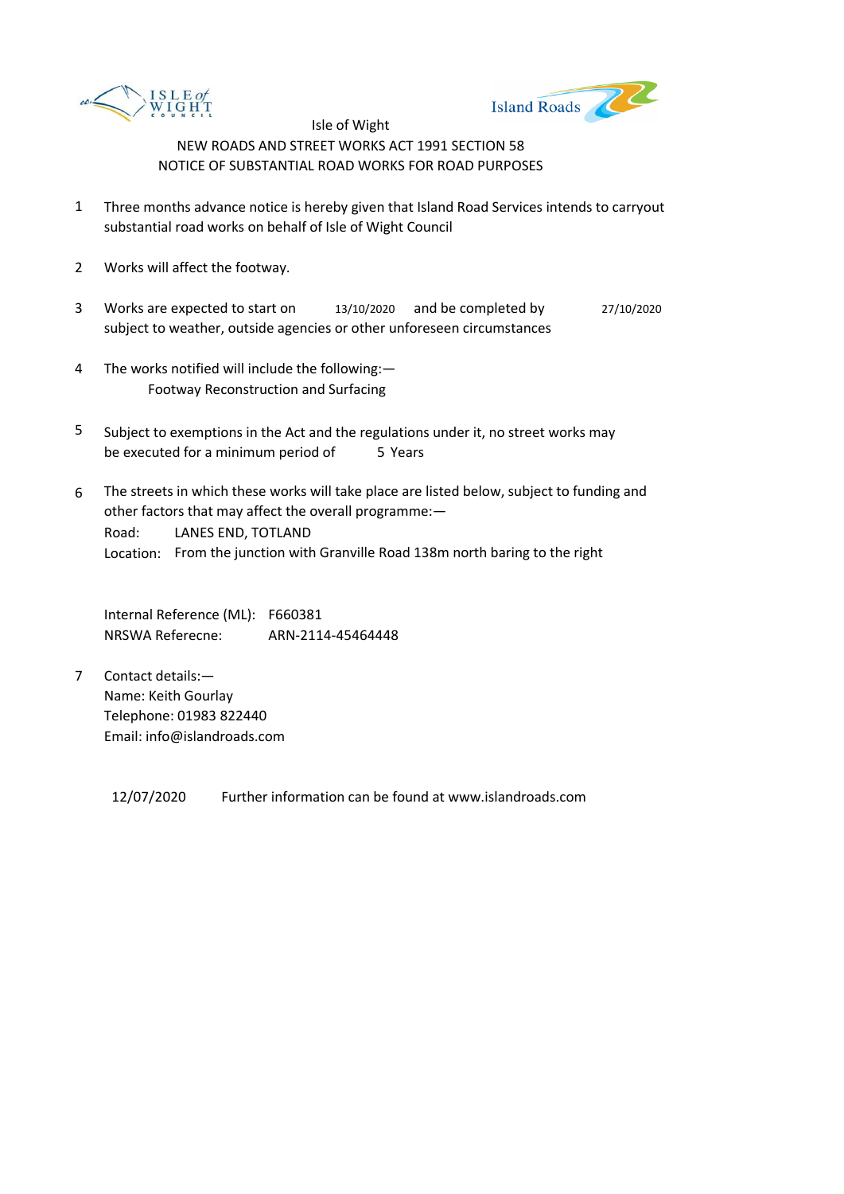



- 1 Three months advance notice is hereby given that Island Road Services intends to carryout substantial road works on behalf of Isle of Wight Council
- 2 Works will affect the footway.
- 3 Works are expected to start on subject to weather, outside agencies or other unforeseen circumstances 13/10/2020 and be completed by 27/10/2020
- 4 The works notified will include the following:— Footway Reconstruction and Surfacing
- 5 be executed for a minimum period of 5 Years Subject to exemptions in the Act and the regulations under it, no street works may
- 6 Road: Location: From the junction with Granville Road 138m north baring to the right The streets in which these works will take place are listed below, subject to funding and other factors that may affect the overall programme:— LANES END, TOTLAND

Internal Reference (ML): F660381 NRSWA Referecne: ARN-2114-45464448

7 Contact details:— Name: Keith Gourlay Telephone: 01983 822440 Email: info@islandroads.com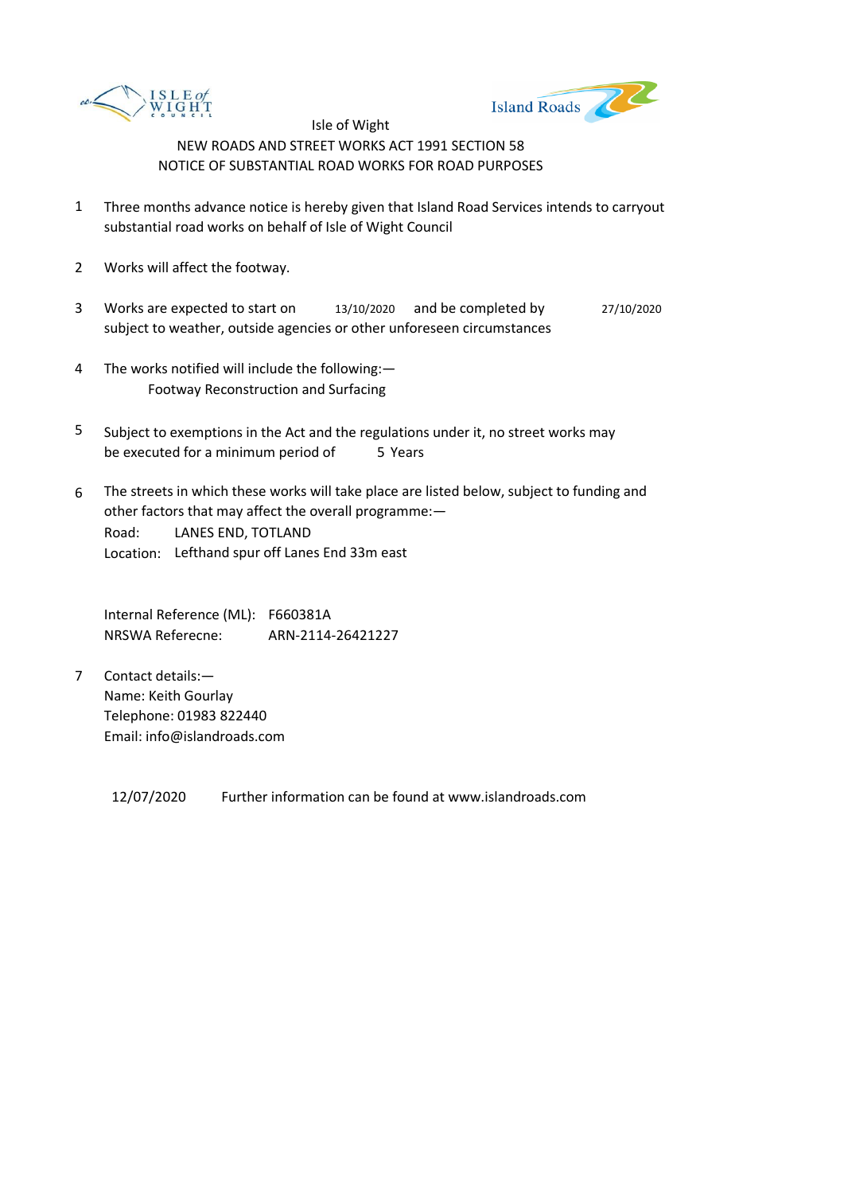



- 1 Three months advance notice is hereby given that Island Road Services intends to carryout substantial road works on behalf of Isle of Wight Council
- 2 Works will affect the footway.
- 3 Works are expected to start on subject to weather, outside agencies or other unforeseen circumstances 13/10/2020 and be completed by 27/10/2020
- 4 The works notified will include the following:— Footway Reconstruction and Surfacing
- 5 be executed for a minimum period of 5 Years Subject to exemptions in the Act and the regulations under it, no street works may
- 6 Road: Location: Lefthand spur off Lanes End 33m east The streets in which these works will take place are listed below, subject to funding and other factors that may affect the overall programme:— LANES END, TOTLAND

Internal Reference (ML): F660381A NRSWA Referecne: ARN-2114-26421227

7 Contact details:— Name: Keith Gourlay Telephone: 01983 822440 Email: info@islandroads.com